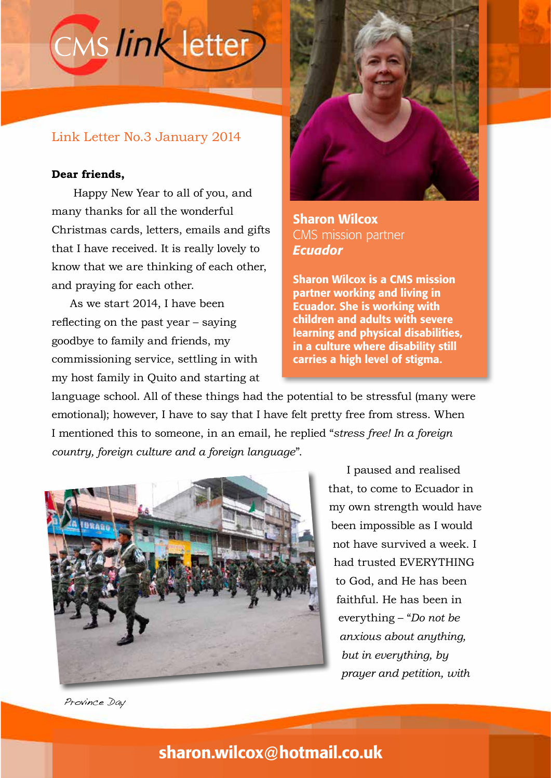# CMS link letter

### Link Letter No.3 January 2014

#### **Dear friends,**

 Happy New Year to all of you, and many thanks for all the wonderful Christmas cards, letters, emails and gifts that I have received. It is really lovely to know that we are thinking of each other, and praying for each other.

As we start 2014, I have been reflecting on the past year – saying goodbye to family and friends, my commissioning service, settling in with my host family in Quito and starting at



Sharon Wilcox CMS mission partner *Ecuador*

Sharon Wilcox is a CMS mission partner working and living in Ecuador. She is working with children and adults with severe learning and physical disabilities, in a culture where disability still carries a high level of stigma.

language school. All of these things had the potential to be stressful (many were emotional); however, I have to say that I have felt pretty free from stress. When I mentioned this to someone, in an email, he replied "*stress free! In a foreign country, foreign culture and a foreign language*".



I paused and realised that, to come to Ecuador in my own strength would have been impossible as I would not have survived a week. I had trusted EVERYTHING to God, and He has been faithful. He has been in everything – "*Do not be anxious about anything, but in everything, by prayer and petition, with* 

Province Day

## sharon.wilcox@hotmail.co.uk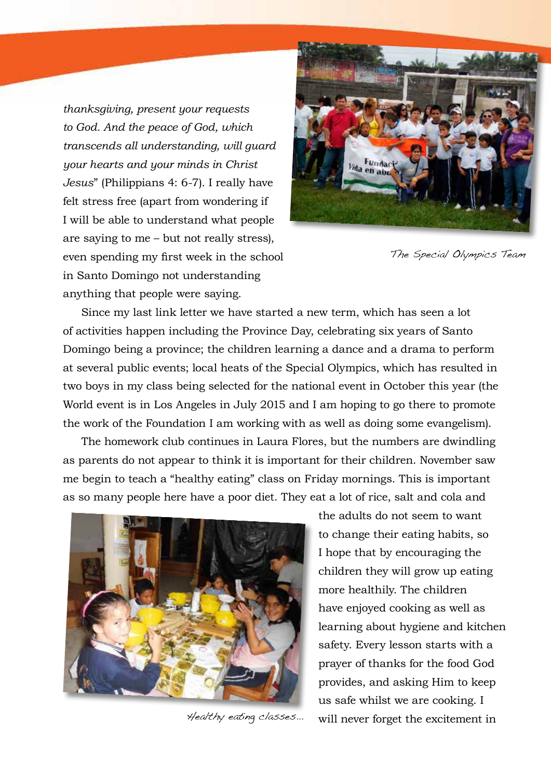*thanksgiving, present your requests to God. And the peace of God, which transcends all understanding, will guard your hearts and your minds in Christ Jesus*" (Philippians 4: 6-7). I really have felt stress free (apart from wondering if I will be able to understand what people are saying to me – but not really stress), even spending my first week in the school in Santo Domingo not understanding anything that people were saying.



The Special Olympics Team

Since my last link letter we have started a new term, which has seen a lot of activities happen including the Province Day, celebrating six years of Santo Domingo being a province; the children learning a dance and a drama to perform at several public events; local heats of the Special Olympics, which has resulted in two boys in my class being selected for the national event in October this year (the World event is in Los Angeles in July 2015 and I am hoping to go there to promote the work of the Foundation I am working with as well as doing some evangelism).

The homework club continues in Laura Flores, but the numbers are dwindling as parents do not appear to think it is important for their children. November saw me begin to teach a "healthy eating" class on Friday mornings. This is important as so many people here have a poor diet. They eat a lot of rice, salt and cola and



Healthy eating classes...

the adults do not seem to want to change their eating habits, so I hope that by encouraging the children they will grow up eating more healthily. The children have enjoyed cooking as well as learning about hygiene and kitchen safety. Every lesson starts with a prayer of thanks for the food God provides, and asking Him to keep us safe whilst we are cooking. I will never forget the excitement in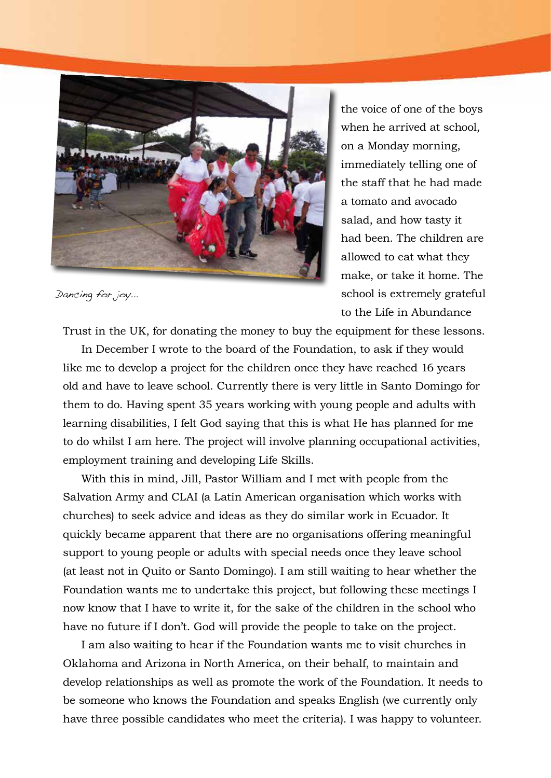

Dancing for joy...

the voice of one of the boys when he arrived at school, on a Monday morning, immediately telling one of the staff that he had made a tomato and avocado salad, and how tasty it had been. The children are allowed to eat what they make, or take it home. The school is extremely grateful to the Life in Abundance

Trust in the UK, for donating the money to buy the equipment for these lessons.

In December I wrote to the board of the Foundation, to ask if they would like me to develop a project for the children once they have reached 16 years old and have to leave school. Currently there is very little in Santo Domingo for them to do. Having spent 35 years working with young people and adults with learning disabilities, I felt God saying that this is what He has planned for me to do whilst I am here. The project will involve planning occupational activities, employment training and developing Life Skills.

With this in mind, Jill, Pastor William and I met with people from the Salvation Army and CLAI (a Latin American organisation which works with churches) to seek advice and ideas as they do similar work in Ecuador. It quickly became apparent that there are no organisations offering meaningful support to young people or adults with special needs once they leave school (at least not in Quito or Santo Domingo). I am still waiting to hear whether the Foundation wants me to undertake this project, but following these meetings I now know that I have to write it, for the sake of the children in the school who have no future if I don't. God will provide the people to take on the project.

I am also waiting to hear if the Foundation wants me to visit churches in Oklahoma and Arizona in North America, on their behalf, to maintain and develop relationships as well as promote the work of the Foundation. It needs to be someone who knows the Foundation and speaks English (we currently only have three possible candidates who meet the criteria). I was happy to volunteer.